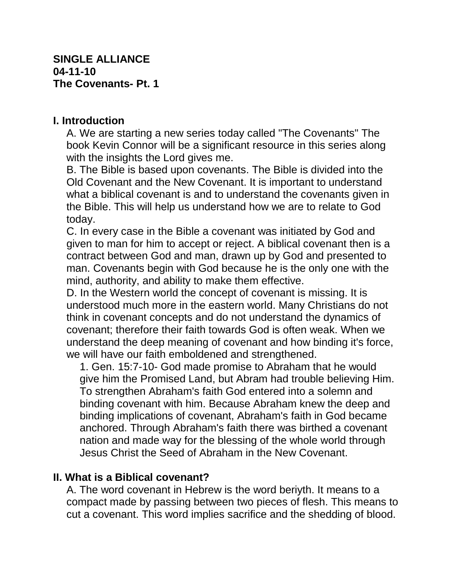## **I. Introduction**

A. We are starting a new series today called "The Covenants" The book Kevin Connor will be a significant resource in this series along with the insights the Lord gives me.

B. The Bible is based upon covenants. The Bible is divided into the Old Covenant and the New Covenant. It is important to understand what a biblical covenant is and to understand the covenants given in the Bible. This will help us understand how we are to relate to God today.

C. In every case in the Bible a covenant was initiated by God and given to man for him to accept or reject. A biblical covenant then is a contract between God and man, drawn up by God and presented to man. Covenants begin with God because he is the only one with the mind, authority, and ability to make them effective.

D. In the Western world the concept of covenant is missing. It is understood much more in the eastern world. Many Christians do not think in covenant concepts and do not understand the dynamics of covenant; therefore their faith towards God is often weak. When we understand the deep meaning of covenant and how binding it's force, we will have our faith emboldened and strengthened.

1. Gen. 15:7-10- God made promise to Abraham that he would give him the Promised Land, but Abram had trouble believing Him. To strengthen Abraham's faith God entered into a solemn and binding covenant with him. Because Abraham knew the deep and binding implications of covenant, Abraham's faith in God became anchored. Through Abraham's faith there was birthed a covenant nation and made way for the blessing of the whole world through Jesus Christ the Seed of Abraham in the New Covenant.

## **II. What is a Biblical covenant?**

A. The word covenant in Hebrew is the word beriyth. It means to a compact made by passing between two pieces of flesh. This means to cut a covenant. This word implies sacrifice and the shedding of blood.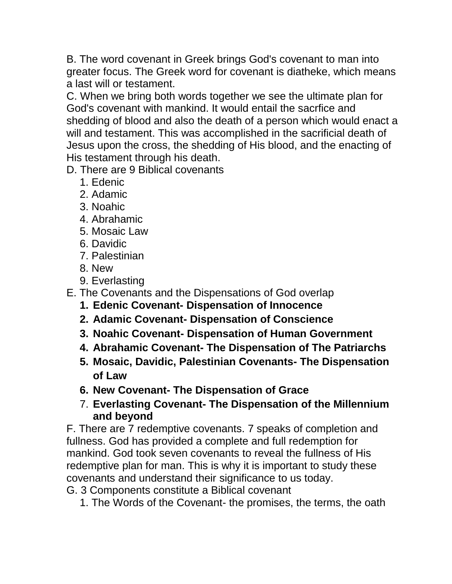B. The word covenant in Greek brings God's covenant to man into greater focus. The Greek word for covenant is diatheke, which means a last will or testament.

C. When we bring both words together we see the ultimate plan for God's covenant with mankind. It would entail the sacrfice and shedding of blood and also the death of a person which would enact a will and testament. This was accomplished in the sacrificial death of Jesus upon the cross, the shedding of His blood, and the enacting of His testament through his death.

D. There are 9 Biblical covenants

- 1. Edenic
- 2. Adamic
- 3. Noahic
- 4. Abrahamic
- 5. Mosaic Law
- 6. Davidic
- 7. Palestinian
- 8. New
- 9. Everlasting
- E. The Covenants and the Dispensations of God overlap
	- **1. Edenic Covenant- Dispensation of Innocence**
	- **2. Adamic Covenant- Dispensation of Conscience**
	- **3. Noahic Covenant- Dispensation of Human Government**
	- **4. Abrahamic Covenant- The Dispensation of The Patriarchs**
	- **5. Mosaic, Davidic, Palestinian Covenants- The Dispensation of Law**
	- **6. New Covenant- The Dispensation of Grace**
	- 7. **Everlasting Covenant- The Dispensation of the Millennium and beyond**

F. There are 7 redemptive covenants. 7 speaks of completion and fullness. God has provided a complete and full redemption for mankind. God took seven covenants to reveal the fullness of His redemptive plan for man. This is why it is important to study these covenants and understand their significance to us today.

G. 3 Components constitute a Biblical covenant

1. The Words of the Covenant- the promises, the terms, the oath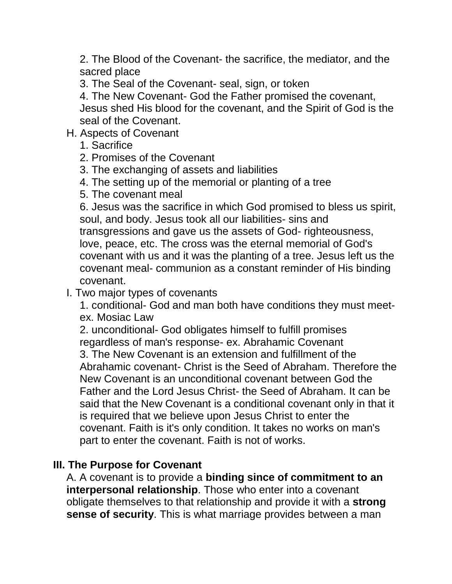2. The Blood of the Covenant- the sacrifice, the mediator, and the sacred place

3. The Seal of the Covenant- seal, sign, or token

4. The New Covenant- God the Father promised the covenant, Jesus shed His blood for the covenant, and the Spirit of God is the seal of the Covenant.

## H. Aspects of Covenant

- 1. Sacrifice
- 2. Promises of the Covenant
- 3. The exchanging of assets and liabilities
- 4. The setting up of the memorial or planting of a tree
- 5. The covenant meal

6. Jesus was the sacrifice in which God promised to bless us spirit, soul, and body. Jesus took all our liabilities- sins and transgressions and gave us the assets of God- righteousness, love, peace, etc. The cross was the eternal memorial of God's covenant with us and it was the planting of a tree. Jesus left us the covenant meal- communion as a constant reminder of His binding covenant.

I. Two major types of covenants

1. conditional- God and man both have conditions they must meetex. Mosiac Law

2. unconditional- God obligates himself to fulfill promises regardless of man's response- ex. Abrahamic Covenant 3. The New Covenant is an extension and fulfillment of the Abrahamic covenant- Christ is the Seed of Abraham. Therefore the New Covenant is an unconditional covenant between God the Father and the Lord Jesus Christ- the Seed of Abraham. It can be said that the New Covenant is a conditional covenant only in that it is required that we believe upon Jesus Christ to enter the covenant. Faith is it's only condition. It takes no works on man's part to enter the covenant. Faith is not of works.

## **III. The Purpose for Covenant**

A. A covenant is to provide a **binding since of commitment to an interpersonal relationship**. Those who enter into a covenant obligate themselves to that relationship and provide it with a **strong sense of security**. This is what marriage provides between a man